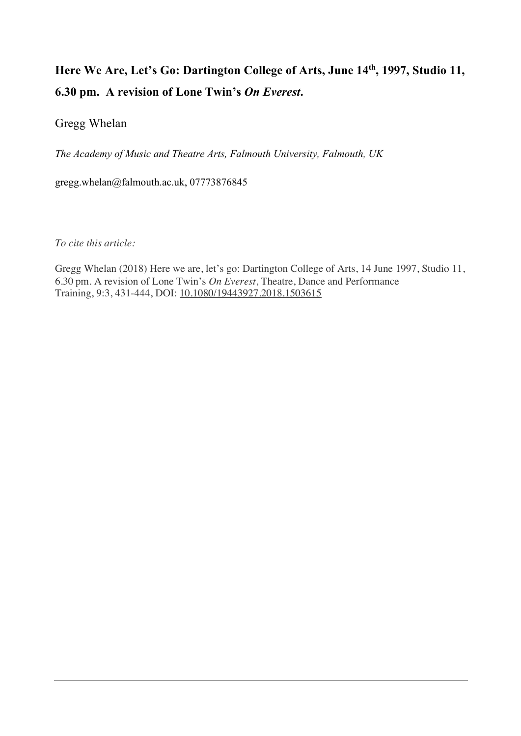# Here We Are, Let's Go: Dartington College of Arts, June 14<sup>th</sup>, 1997, Studio 11, **6.30 pm. A revision of Lone Twin's** *On Everest***.**

# Gregg Whelan

*The Academy of Music and Theatre Arts, Falmouth University, Falmouth, UK*

gregg.whelan@falmouth.ac.uk, 07773876845

*To cite this article:*

Gregg Whelan (2018) Here we are, let's go: Dartington College of Arts, 14 June 1997, Studio 11, 6.30 pm. A revision of Lone Twin's *On Everest*, Theatre, Dance and Performance Training, 9:3, 431-444, DOI: 10.1080/19443927.2018.1503615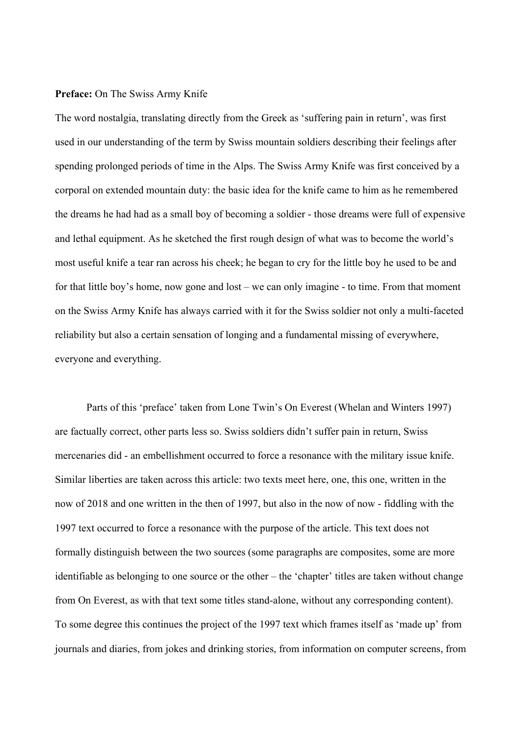#### **Preface:** On The Swiss Army Knife

The word nostalgia, translating directly from the Greek as 'suffering pain in return', was first used in our understanding of the term by Swiss mountain soldiers describing their feelings after spending prolonged periods of time in the Alps. The Swiss Army Knife was first conceived by a corporal on extended mountain duty: the basic idea for the knife came to him as he remembered the dreams he had had as a small boy of becoming a soldier - those dreams were full of expensive and lethal equipment. As he sketched the first rough design of what was to become the world's most useful knife a tear ran across his cheek; he began to cry for the little boy he used to be and for that little boy's home, now gone and lost – we can only imagine - to time. From that moment on the Swiss Army Knife has always carried with it for the Swiss soldier not only a multi-faceted reliability but also a certain sensation of longing and a fundamental missing of everywhere, everyone and everything.

Parts of this 'preface' taken from Lone Twin's On Everest (Whelan and Winters 1997) are factually correct, other parts less so. Swiss soldiers didn't suffer pain in return, Swiss mercenaries did - an embellishment occurred to force a resonance with the military issue knife. Similar liberties are taken across this article: two texts meet here, one, this one, written in the now of 2018 and one written in the then of 1997, but also in the now of now - fiddling with the 1997 text occurred to force a resonance with the purpose of the article. This text does not formally distinguish between the two sources (some paragraphs are composites, some are more identifiable as belonging to one source or the other – the 'chapter' titles are taken without change from On Everest, as with that text some titles stand-alone, without any corresponding content). To some degree this continues the project of the 1997 text which frames itself as 'made up' from journals and diaries, from jokes and drinking stories, from information on computer screens, from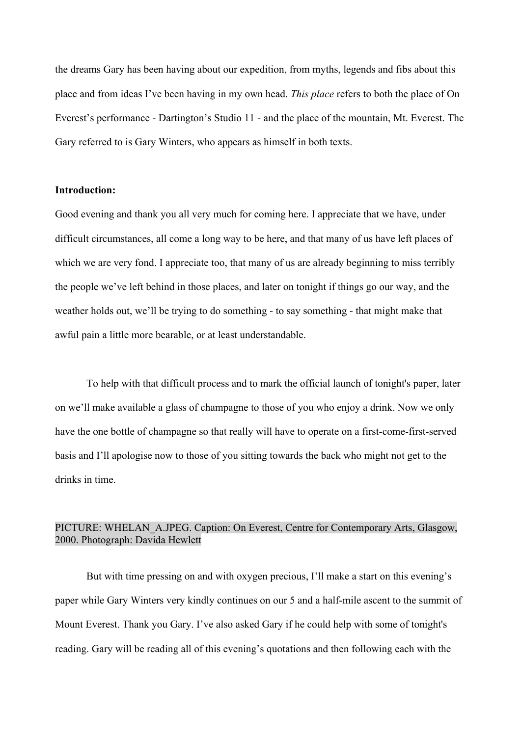the dreams Gary has been having about our expedition, from myths, legends and fibs about this place and from ideas I've been having in my own head. *This place* refers to both the place of On Everest's performance - Dartington's Studio 11 - and the place of the mountain, Mt. Everest. The Gary referred to is Gary Winters, who appears as himself in both texts.

### **Introduction:**

Good evening and thank you all very much for coming here. I appreciate that we have, under difficult circumstances, all come a long way to be here, and that many of us have left places of which we are very fond. I appreciate too, that many of us are already beginning to miss terribly the people we've left behind in those places, and later on tonight if things go our way, and the weather holds out, we'll be trying to do something - to say something - that might make that awful pain a little more bearable, or at least understandable.

To help with that difficult process and to mark the official launch of tonight's paper, later on we'll make available a glass of champagne to those of you who enjoy a drink. Now we only have the one bottle of champagne so that really will have to operate on a first-come-first-served basis and I'll apologise now to those of you sitting towards the back who might not get to the drinks in time.

# PICTURE: WHELAN\_A.JPEG. Caption: On Everest, Centre for Contemporary Arts, Glasgow, 2000. Photograph: Davida Hewlett

But with time pressing on and with oxygen precious, I'll make a start on this evening's paper while Gary Winters very kindly continues on our 5 and a half-mile ascent to the summit of Mount Everest. Thank you Gary. I've also asked Gary if he could help with some of tonight's reading. Gary will be reading all of this evening's quotations and then following each with the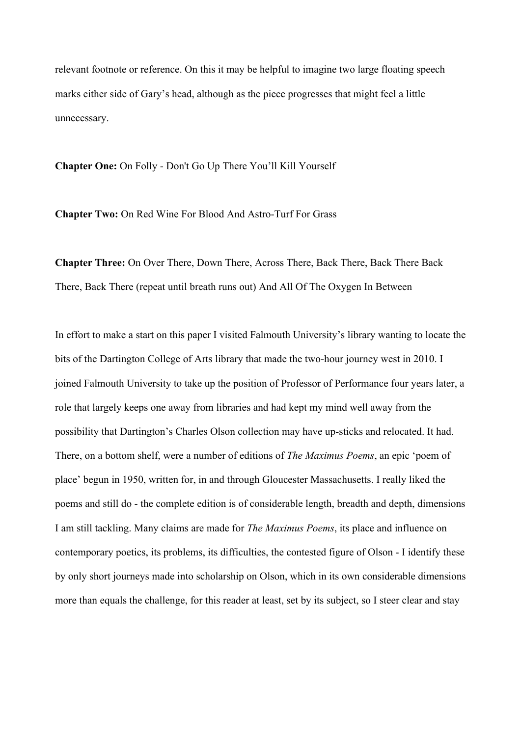relevant footnote or reference. On this it may be helpful to imagine two large floating speech marks either side of Gary's head, although as the piece progresses that might feel a little unnecessary.

**Chapter One:** On Folly - Don't Go Up There You'll Kill Yourself

**Chapter Two:** On Red Wine For Blood And Astro-Turf For Grass

**Chapter Three:** On Over There, Down There, Across There, Back There, Back There Back There, Back There (repeat until breath runs out) And All Of The Oxygen In Between

In effort to make a start on this paper I visited Falmouth University's library wanting to locate the bits of the Dartington College of Arts library that made the two-hour journey west in 2010. I joined Falmouth University to take up the position of Professor of Performance four years later, a role that largely keeps one away from libraries and had kept my mind well away from the possibility that Dartington's Charles Olson collection may have up-sticks and relocated. It had. There, on a bottom shelf, were a number of editions of *The Maximus Poems*, an epic 'poem of place' begun in 1950, written for, in and through Gloucester Massachusetts. I really liked the poems and still do - the complete edition is of considerable length, breadth and depth, dimensions I am still tackling. Many claims are made for *The Maximus Poems*, its place and influence on contemporary poetics, its problems, its difficulties, the contested figure of Olson - I identify these by only short journeys made into scholarship on Olson, which in its own considerable dimensions more than equals the challenge, for this reader at least, set by its subject, so I steer clear and stay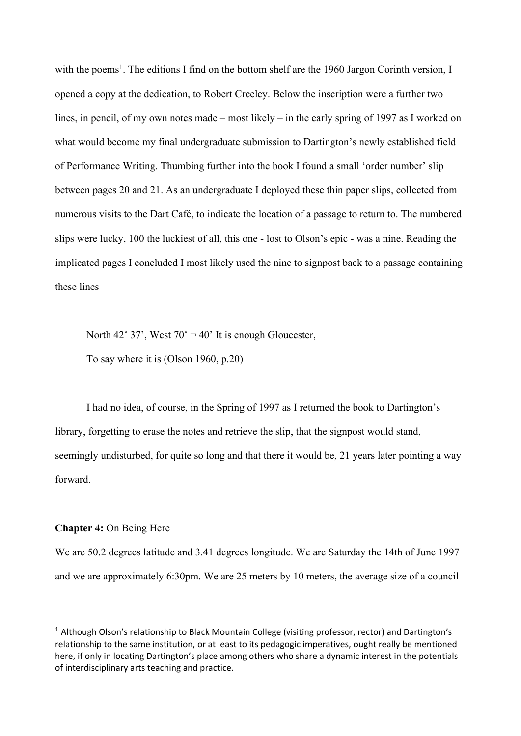with the poems<sup>1</sup>. The editions I find on the bottom shelf are the 1960 Jargon Corinth version, I opened a copy at the dedication, to Robert Creeley. Below the inscription were a further two lines, in pencil, of my own notes made – most likely – in the early spring of 1997 as I worked on what would become my final undergraduate submission to Dartington's newly established field of Performance Writing. Thumbing further into the book I found a small 'order number' slip between pages 20 and 21. As an undergraduate I deployed these thin paper slips, collected from numerous visits to the Dart Café, to indicate the location of a passage to return to. The numbered slips were lucky, 100 the luckiest of all, this one - lost to Olson's epic - was a nine. Reading the implicated pages I concluded I most likely used the nine to signpost back to a passage containing these lines

North 42° 37', West  $70^{\circ}$   $-40^{\circ}$  It is enough Gloucester,

To say where it is (Olson 1960, p.20)

I had no idea, of course, in the Spring of 1997 as I returned the book to Dartington's library, forgetting to erase the notes and retrieve the slip, that the signpost would stand, seemingly undisturbed, for quite so long and that there it would be, 21 years later pointing a way forward.

#### **Chapter 4:** On Being Here

We are 50.2 degrees latitude and 3.41 degrees longitude. We are Saturday the 14th of June 1997 and we are approximately 6:30pm. We are 25 meters by 10 meters, the average size of a council

<sup>&</sup>lt;sup>1</sup> Although Olson's relationship to Black Mountain College (visiting professor, rector) and Dartington's relationship to the same institution, or at least to its pedagogic imperatives, ought really be mentioned here, if only in locating Dartington's place among others who share a dynamic interest in the potentials of interdisciplinary arts teaching and practice.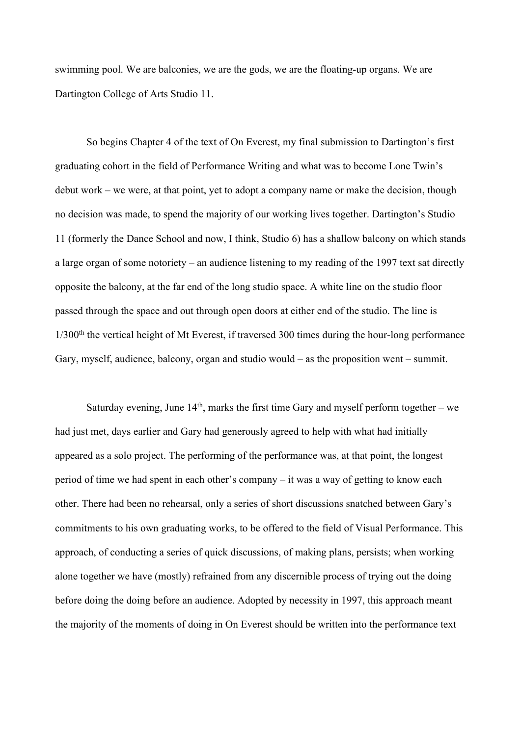swimming pool. We are balconies, we are the gods, we are the floating-up organs. We are Dartington College of Arts Studio 11.

So begins Chapter 4 of the text of On Everest, my final submission to Dartington's first graduating cohort in the field of Performance Writing and what was to become Lone Twin's debut work – we were, at that point, yet to adopt a company name or make the decision, though no decision was made, to spend the majority of our working lives together. Dartington's Studio 11 (formerly the Dance School and now, I think, Studio 6) has a shallow balcony on which stands a large organ of some notoriety – an audience listening to my reading of the 1997 text sat directly opposite the balcony, at the far end of the long studio space. A white line on the studio floor passed through the space and out through open doors at either end of the studio. The line is  $1/300<sup>th</sup>$  the vertical height of Mt Everest, if traversed 300 times during the hour-long performance Gary, myself, audience, balcony, organ and studio would – as the proposition went – summit.

Saturday evening, June  $14<sup>th</sup>$ , marks the first time Gary and myself perform together – we had just met, days earlier and Gary had generously agreed to help with what had initially appeared as a solo project. The performing of the performance was, at that point, the longest period of time we had spent in each other's company – it was a way of getting to know each other. There had been no rehearsal, only a series of short discussions snatched between Gary's commitments to his own graduating works, to be offered to the field of Visual Performance. This approach, of conducting a series of quick discussions, of making plans, persists; when working alone together we have (mostly) refrained from any discernible process of trying out the doing before doing the doing before an audience. Adopted by necessity in 1997, this approach meant the majority of the moments of doing in On Everest should be written into the performance text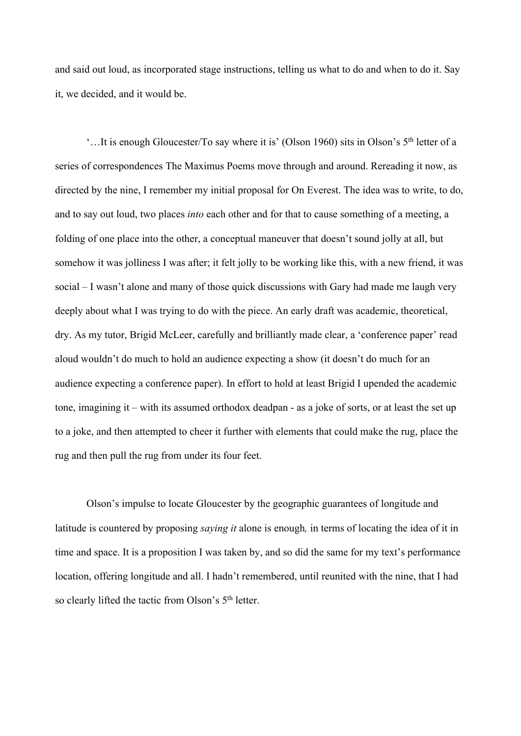and said out loud, as incorporated stage instructions, telling us what to do and when to do it. Say it, we decided, and it would be.

'…It is enough Gloucester/To say where it is' (Olson 1960) sits in Olson's 5th letter of a series of correspondences The Maximus Poems move through and around. Rereading it now, as directed by the nine, I remember my initial proposal for On Everest. The idea was to write, to do, and to say out loud, two places *into* each other and for that to cause something of a meeting, a folding of one place into the other, a conceptual maneuver that doesn't sound jolly at all, but somehow it was jolliness I was after; it felt jolly to be working like this, with a new friend, it was social – I wasn't alone and many of those quick discussions with Gary had made me laugh very deeply about what I was trying to do with the piece. An early draft was academic, theoretical, dry. As my tutor, Brigid McLeer, carefully and brilliantly made clear, a 'conference paper' read aloud wouldn't do much to hold an audience expecting a show (it doesn't do much for an audience expecting a conference paper). In effort to hold at least Brigid I upended the academic tone, imagining it – with its assumed orthodox deadpan - as a joke of sorts, or at least the set up to a joke, and then attempted to cheer it further with elements that could make the rug, place the rug and then pull the rug from under its four feet.

Olson's impulse to locate Gloucester by the geographic guarantees of longitude and latitude is countered by proposing *saying it* alone is enough*,* in terms of locating the idea of it in time and space. It is a proposition I was taken by, and so did the same for my text's performance location, offering longitude and all. I hadn't remembered, until reunited with the nine, that I had so clearly lifted the tactic from Olson's 5<sup>th</sup> letter.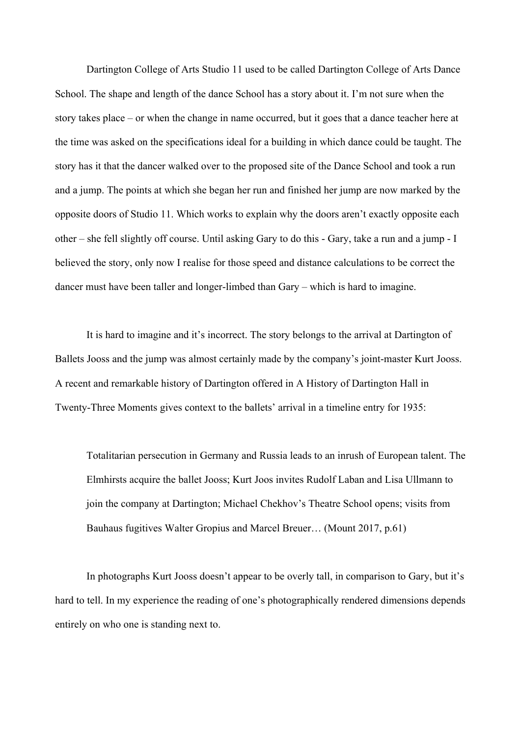Dartington College of Arts Studio 11 used to be called Dartington College of Arts Dance School. The shape and length of the dance School has a story about it. I'm not sure when the story takes place – or when the change in name occurred, but it goes that a dance teacher here at the time was asked on the specifications ideal for a building in which dance could be taught. The story has it that the dancer walked over to the proposed site of the Dance School and took a run and a jump. The points at which she began her run and finished her jump are now marked by the opposite doors of Studio 11. Which works to explain why the doors aren't exactly opposite each other – she fell slightly off course. Until asking Gary to do this - Gary, take a run and a jump - I believed the story, only now I realise for those speed and distance calculations to be correct the dancer must have been taller and longer-limbed than Gary – which is hard to imagine.

It is hard to imagine and it's incorrect. The story belongs to the arrival at Dartington of Ballets Jooss and the jump was almost certainly made by the company's joint-master Kurt Jooss. A recent and remarkable history of Dartington offered in A History of Dartington Hall in Twenty-Three Moments gives context to the ballets' arrival in a timeline entry for 1935:

Totalitarian persecution in Germany and Russia leads to an inrush of European talent. The Elmhirsts acquire the ballet Jooss; Kurt Joos invites Rudolf Laban and Lisa Ullmann to join the company at Dartington; Michael Chekhov's Theatre School opens; visits from Bauhaus fugitives Walter Gropius and Marcel Breuer… (Mount 2017, p.61)

In photographs Kurt Jooss doesn't appear to be overly tall, in comparison to Gary, but it's hard to tell. In my experience the reading of one's photographically rendered dimensions depends entirely on who one is standing next to.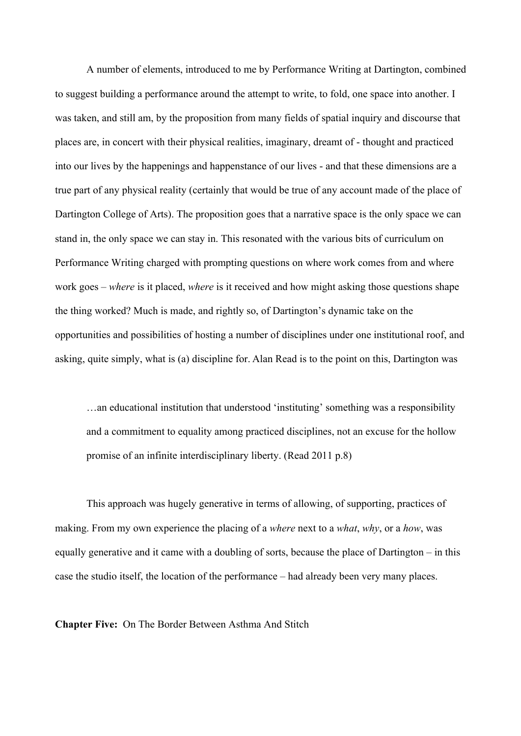A number of elements, introduced to me by Performance Writing at Dartington, combined to suggest building a performance around the attempt to write, to fold, one space into another. I was taken, and still am, by the proposition from many fields of spatial inquiry and discourse that places are, in concert with their physical realities, imaginary, dreamt of - thought and practiced into our lives by the happenings and happenstance of our lives - and that these dimensions are a true part of any physical reality (certainly that would be true of any account made of the place of Dartington College of Arts). The proposition goes that a narrative space is the only space we can stand in, the only space we can stay in. This resonated with the various bits of curriculum on Performance Writing charged with prompting questions on where work comes from and where work goes – *where* is it placed, *where* is it received and how might asking those questions shape the thing worked? Much is made, and rightly so, of Dartington's dynamic take on the opportunities and possibilities of hosting a number of disciplines under one institutional roof, and asking, quite simply, what is (a) discipline for. Alan Read is to the point on this, Dartington was

…an educational institution that understood 'instituting' something was a responsibility and a commitment to equality among practiced disciplines, not an excuse for the hollow promise of an infinite interdisciplinary liberty. (Read 2011 p.8)

This approach was hugely generative in terms of allowing, of supporting, practices of making. From my own experience the placing of a *where* next to a *what*, *why*, or a *how*, was equally generative and it came with a doubling of sorts, because the place of Dartington – in this case the studio itself, the location of the performance – had already been very many places.

**Chapter Five:** On The Border Between Asthma And Stitch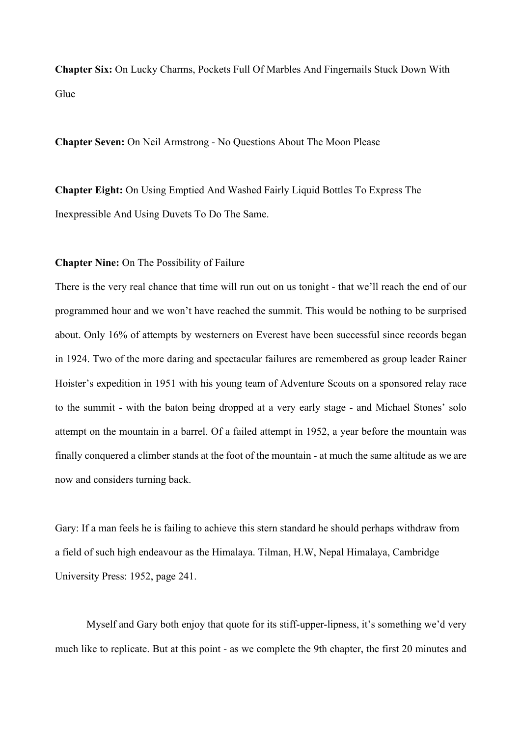**Chapter Six:** On Lucky Charms, Pockets Full Of Marbles And Fingernails Stuck Down With Glue

**Chapter Seven:** On Neil Armstrong - No Questions About The Moon Please

**Chapter Eight:** On Using Emptied And Washed Fairly Liquid Bottles To Express The Inexpressible And Using Duvets To Do The Same.

#### **Chapter Nine:** On The Possibility of Failure

There is the very real chance that time will run out on us tonight - that we'll reach the end of our programmed hour and we won't have reached the summit. This would be nothing to be surprised about. Only 16% of attempts by westerners on Everest have been successful since records began in 1924. Two of the more daring and spectacular failures are remembered as group leader Rainer Hoister's expedition in 1951 with his young team of Adventure Scouts on a sponsored relay race to the summit - with the baton being dropped at a very early stage - and Michael Stones' solo attempt on the mountain in a barrel. Of a failed attempt in 1952, a year before the mountain was finally conquered a climber stands at the foot of the mountain - at much the same altitude as we are now and considers turning back.

Gary: If a man feels he is failing to achieve this stern standard he should perhaps withdraw from a field of such high endeavour as the Himalaya. Tilman, H.W, Nepal Himalaya, Cambridge University Press: 1952, page 241.

Myself and Gary both enjoy that quote for its stiff-upper-lipness, it's something we'd very much like to replicate. But at this point - as we complete the 9th chapter, the first 20 minutes and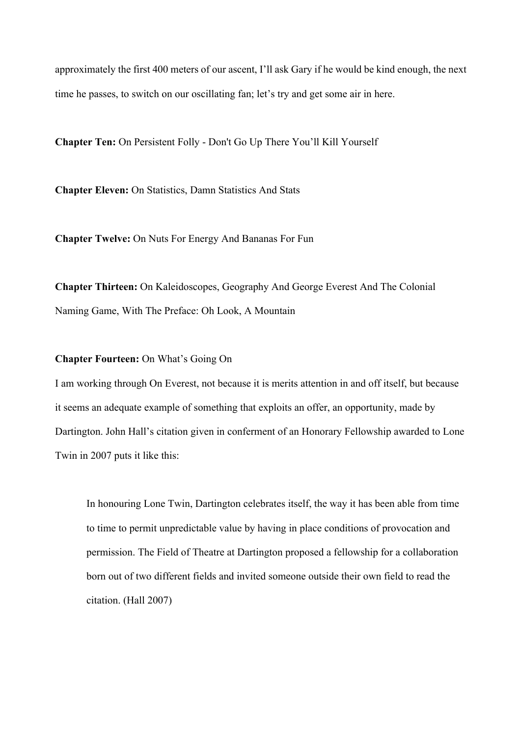approximately the first 400 meters of our ascent, I'll ask Gary if he would be kind enough, the next time he passes, to switch on our oscillating fan; let's try and get some air in here.

**Chapter Ten:** On Persistent Folly - Don't Go Up There You'll Kill Yourself

**Chapter Eleven:** On Statistics, Damn Statistics And Stats

**Chapter Twelve:** On Nuts For Energy And Bananas For Fun

**Chapter Thirteen:** On Kaleidoscopes, Geography And George Everest And The Colonial Naming Game, With The Preface: Oh Look, A Mountain

**Chapter Fourteen:** On What's Going On

I am working through On Everest, not because it is merits attention in and off itself, but because it seems an adequate example of something that exploits an offer, an opportunity, made by Dartington. John Hall's citation given in conferment of an Honorary Fellowship awarded to Lone Twin in 2007 puts it like this:

In honouring Lone Twin, Dartington celebrates itself, the way it has been able from time to time to permit unpredictable value by having in place conditions of provocation and permission. The Field of Theatre at Dartington proposed a fellowship for a collaboration born out of two different fields and invited someone outside their own field to read the citation. (Hall 2007)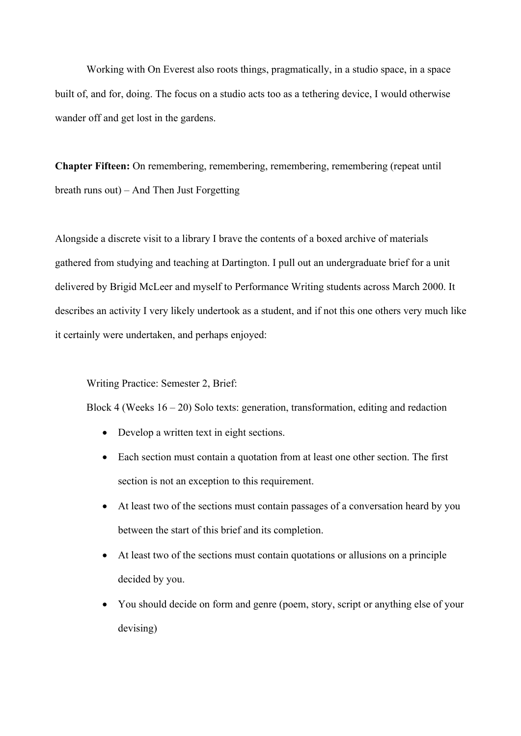Working with On Everest also roots things, pragmatically, in a studio space, in a space built of, and for, doing. The focus on a studio acts too as a tethering device, I would otherwise wander off and get lost in the gardens.

**Chapter Fifteen:** On remembering, remembering, remembering, remembering (repeat until breath runs out) – And Then Just Forgetting

Alongside a discrete visit to a library I brave the contents of a boxed archive of materials gathered from studying and teaching at Dartington. I pull out an undergraduate brief for a unit delivered by Brigid McLeer and myself to Performance Writing students across March 2000. It describes an activity I very likely undertook as a student, and if not this one others very much like it certainly were undertaken, and perhaps enjoyed:

Writing Practice: Semester 2, Brief:

Block 4 (Weeks  $16 - 20$ ) Solo texts: generation, transformation, editing and redaction

- Develop a written text in eight sections.
- Each section must contain a quotation from at least one other section. The first section is not an exception to this requirement.
- At least two of the sections must contain passages of a conversation heard by you between the start of this brief and its completion.
- At least two of the sections must contain quotations or allusions on a principle decided by you.
- You should decide on form and genre (poem, story, script or anything else of your devising)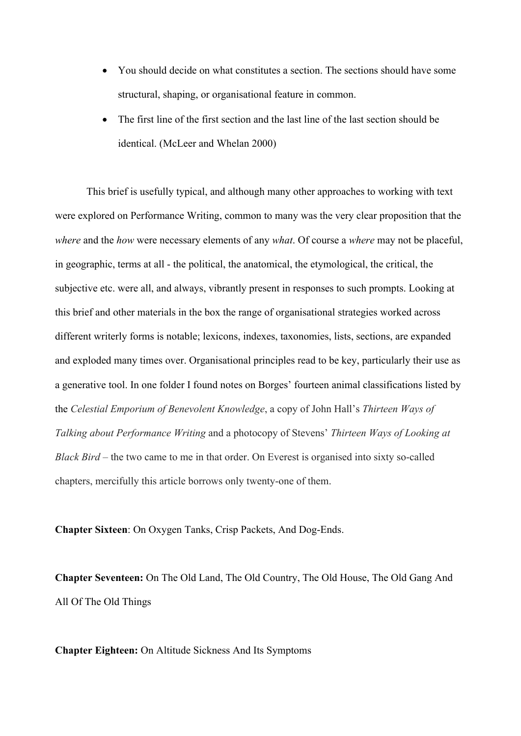- You should decide on what constitutes a section. The sections should have some structural, shaping, or organisational feature in common.
- The first line of the first section and the last line of the last section should be identical. (McLeer and Whelan 2000)

This brief is usefully typical, and although many other approaches to working with text were explored on Performance Writing, common to many was the very clear proposition that the *where* and the *how* were necessary elements of any *what*. Of course a *where* may not be placeful, in geographic, terms at all - the political, the anatomical, the etymological, the critical, the subjective etc. were all, and always, vibrantly present in responses to such prompts. Looking at this brief and other materials in the box the range of organisational strategies worked across different writerly forms is notable; lexicons, indexes, taxonomies, lists, sections, are expanded and exploded many times over. Organisational principles read to be key, particularly their use as a generative tool. In one folder I found notes on Borges' fourteen animal classifications listed by the *Celestial Emporium of Benevolent Knowledge*, a copy of John Hall's *Thirteen Ways of Talking about Performance Writing* and a photocopy of Stevens' *Thirteen Ways of Looking at Black Bird* – the two came to me in that order. On Everest is organised into sixty so-called chapters, mercifully this article borrows only twenty-one of them.

**Chapter Sixteen**: On Oxygen Tanks, Crisp Packets, And Dog-Ends.

**Chapter Seventeen:** On The Old Land, The Old Country, The Old House, The Old Gang And All Of The Old Things

**Chapter Eighteen:** On Altitude Sickness And Its Symptoms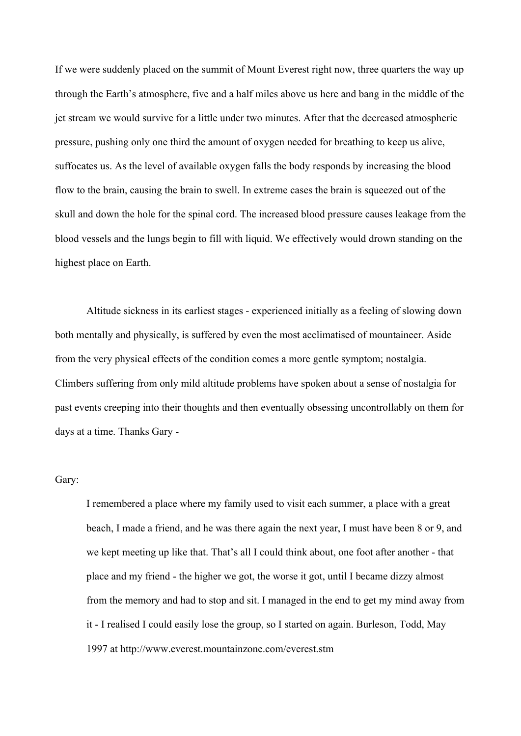If we were suddenly placed on the summit of Mount Everest right now, three quarters the way up through the Earth's atmosphere, five and a half miles above us here and bang in the middle of the jet stream we would survive for a little under two minutes. After that the decreased atmospheric pressure, pushing only one third the amount of oxygen needed for breathing to keep us alive, suffocates us. As the level of available oxygen falls the body responds by increasing the blood flow to the brain, causing the brain to swell. In extreme cases the brain is squeezed out of the skull and down the hole for the spinal cord. The increased blood pressure causes leakage from the blood vessels and the lungs begin to fill with liquid. We effectively would drown standing on the highest place on Earth.

Altitude sickness in its earliest stages - experienced initially as a feeling of slowing down both mentally and physically, is suffered by even the most acclimatised of mountaineer. Aside from the very physical effects of the condition comes a more gentle symptom; nostalgia. Climbers suffering from only mild altitude problems have spoken about a sense of nostalgia for past events creeping into their thoughts and then eventually obsessing uncontrollably on them for days at a time. Thanks Gary -

#### Gary:

I remembered a place where my family used to visit each summer, a place with a great beach, I made a friend, and he was there again the next year, I must have been 8 or 9, and we kept meeting up like that. That's all I could think about, one foot after another - that place and my friend - the higher we got, the worse it got, until I became dizzy almost from the memory and had to stop and sit. I managed in the end to get my mind away from it - I realised I could easily lose the group, so I started on again. Burleson, Todd, May 1997 at http://www.everest.mountainzone.com/everest.stm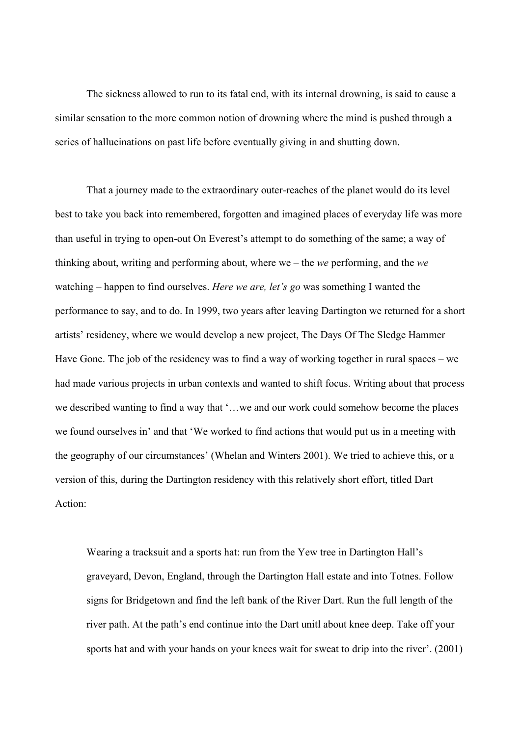The sickness allowed to run to its fatal end, with its internal drowning, is said to cause a similar sensation to the more common notion of drowning where the mind is pushed through a series of hallucinations on past life before eventually giving in and shutting down.

That a journey made to the extraordinary outer-reaches of the planet would do its level best to take you back into remembered, forgotten and imagined places of everyday life was more than useful in trying to open-out On Everest's attempt to do something of the same; a way of thinking about, writing and performing about, where we – the *we* performing, and the *we* watching – happen to find ourselves. *Here we are, let's go* was something I wanted the performance to say, and to do. In 1999, two years after leaving Dartington we returned for a short artists' residency, where we would develop a new project, The Days Of The Sledge Hammer Have Gone. The job of the residency was to find a way of working together in rural spaces – we had made various projects in urban contexts and wanted to shift focus. Writing about that process we described wanting to find a way that '…we and our work could somehow become the places we found ourselves in' and that 'We worked to find actions that would put us in a meeting with the geography of our circumstances' (Whelan and Winters 2001). We tried to achieve this, or a version of this, during the Dartington residency with this relatively short effort, titled Dart Action:

Wearing a tracksuit and a sports hat: run from the Yew tree in Dartington Hall's graveyard, Devon, England, through the Dartington Hall estate and into Totnes. Follow signs for Bridgetown and find the left bank of the River Dart. Run the full length of the river path. At the path's end continue into the Dart unitl about knee deep. Take off your sports hat and with your hands on your knees wait for sweat to drip into the river'. (2001)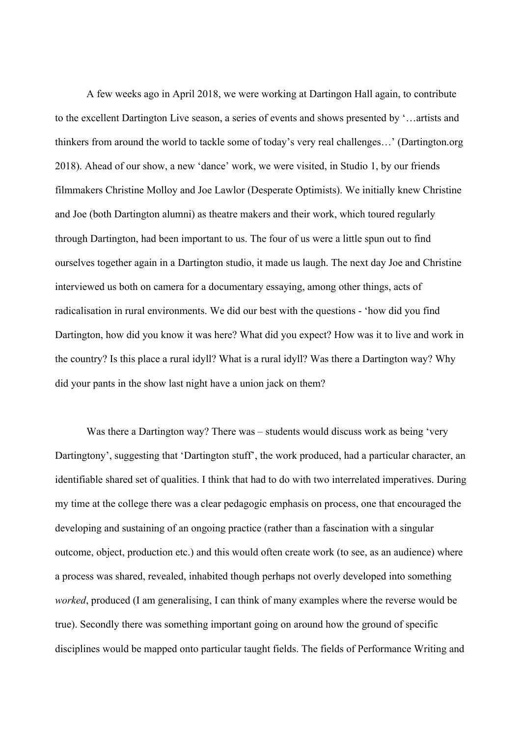A few weeks ago in April 2018, we were working at Dartingon Hall again, to contribute to the excellent Dartington Live season, a series of events and shows presented by '…artists and thinkers from around the world to tackle some of today's very real challenges…' (Dartington.org 2018). Ahead of our show, a new 'dance' work, we were visited, in Studio 1, by our friends filmmakers Christine Molloy and Joe Lawlor (Desperate Optimists). We initially knew Christine and Joe (both Dartington alumni) as theatre makers and their work, which toured regularly through Dartington, had been important to us. The four of us were a little spun out to find ourselves together again in a Dartington studio, it made us laugh. The next day Joe and Christine interviewed us both on camera for a documentary essaying, among other things, acts of radicalisation in rural environments. We did our best with the questions - 'how did you find Dartington, how did you know it was here? What did you expect? How was it to live and work in the country? Is this place a rural idyll? What is a rural idyll? Was there a Dartington way? Why did your pants in the show last night have a union jack on them?

Was there a Dartington way? There was – students would discuss work as being 'very Dartingtony', suggesting that 'Dartington stuff', the work produced, had a particular character, an identifiable shared set of qualities. I think that had to do with two interrelated imperatives. During my time at the college there was a clear pedagogic emphasis on process, one that encouraged the developing and sustaining of an ongoing practice (rather than a fascination with a singular outcome, object, production etc.) and this would often create work (to see, as an audience) where a process was shared, revealed, inhabited though perhaps not overly developed into something *worked*, produced (I am generalising, I can think of many examples where the reverse would be true). Secondly there was something important going on around how the ground of specific disciplines would be mapped onto particular taught fields. The fields of Performance Writing and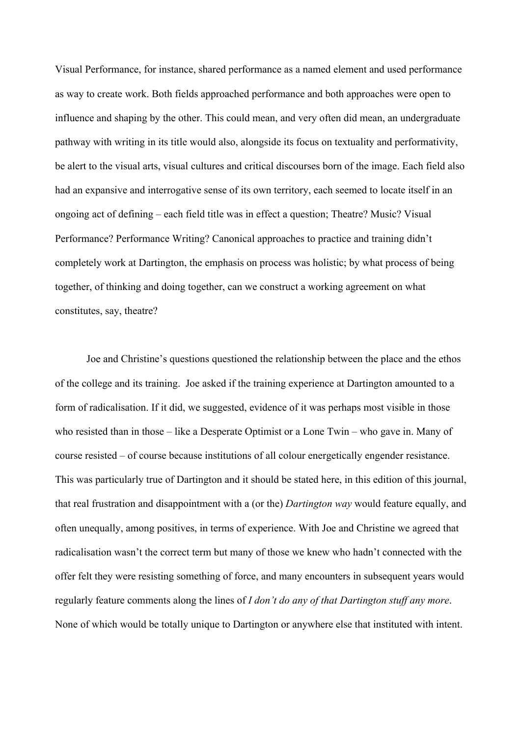Visual Performance, for instance, shared performance as a named element and used performance as way to create work. Both fields approached performance and both approaches were open to influence and shaping by the other. This could mean, and very often did mean, an undergraduate pathway with writing in its title would also, alongside its focus on textuality and performativity, be alert to the visual arts, visual cultures and critical discourses born of the image. Each field also had an expansive and interrogative sense of its own territory, each seemed to locate itself in an ongoing act of defining – each field title was in effect a question; Theatre? Music? Visual Performance? Performance Writing? Canonical approaches to practice and training didn't completely work at Dartington, the emphasis on process was holistic; by what process of being together, of thinking and doing together, can we construct a working agreement on what constitutes, say, theatre?

Joe and Christine's questions questioned the relationship between the place and the ethos of the college and its training. Joe asked if the training experience at Dartington amounted to a form of radicalisation. If it did, we suggested, evidence of it was perhaps most visible in those who resisted than in those – like a Desperate Optimist or a Lone Twin – who gave in. Many of course resisted – of course because institutions of all colour energetically engender resistance. This was particularly true of Dartington and it should be stated here, in this edition of this journal, that real frustration and disappointment with a (or the) *Dartington way* would feature equally, and often unequally, among positives, in terms of experience. With Joe and Christine we agreed that radicalisation wasn't the correct term but many of those we knew who hadn't connected with the offer felt they were resisting something of force, and many encounters in subsequent years would regularly feature comments along the lines of *I don't do any of that Dartington stuff any more*. None of which would be totally unique to Dartington or anywhere else that instituted with intent.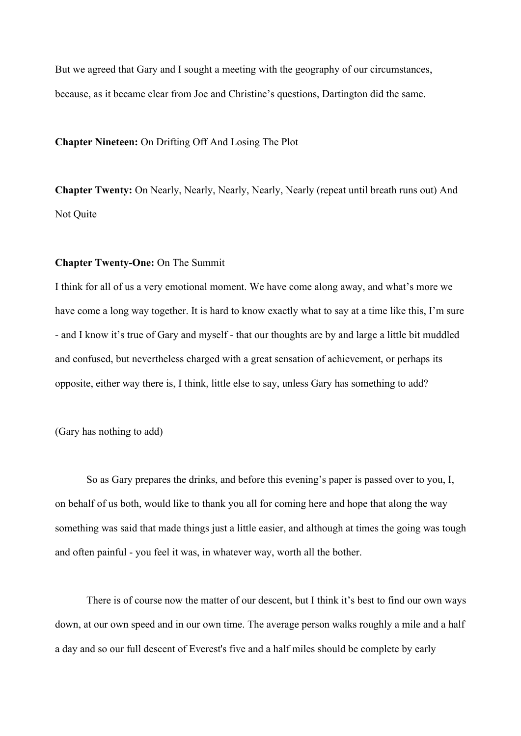But we agreed that Gary and I sought a meeting with the geography of our circumstances, because, as it became clear from Joe and Christine's questions, Dartington did the same.

**Chapter Nineteen:** On Drifting Off And Losing The Plot

**Chapter Twenty:** On Nearly, Nearly, Nearly, Nearly, Nearly (repeat until breath runs out) And Not Quite

## **Chapter Twenty-One:** On The Summit

I think for all of us a very emotional moment. We have come along away, and what's more we have come a long way together. It is hard to know exactly what to say at a time like this, I'm sure - and I know it's true of Gary and myself - that our thoughts are by and large a little bit muddled and confused, but nevertheless charged with a great sensation of achievement, or perhaps its opposite, either way there is, I think, little else to say, unless Gary has something to add?

(Gary has nothing to add)

So as Gary prepares the drinks, and before this evening's paper is passed over to you, I, on behalf of us both, would like to thank you all for coming here and hope that along the way something was said that made things just a little easier, and although at times the going was tough and often painful - you feel it was, in whatever way, worth all the bother.

There is of course now the matter of our descent, but I think it's best to find our own ways down, at our own speed and in our own time. The average person walks roughly a mile and a half a day and so our full descent of Everest's five and a half miles should be complete by early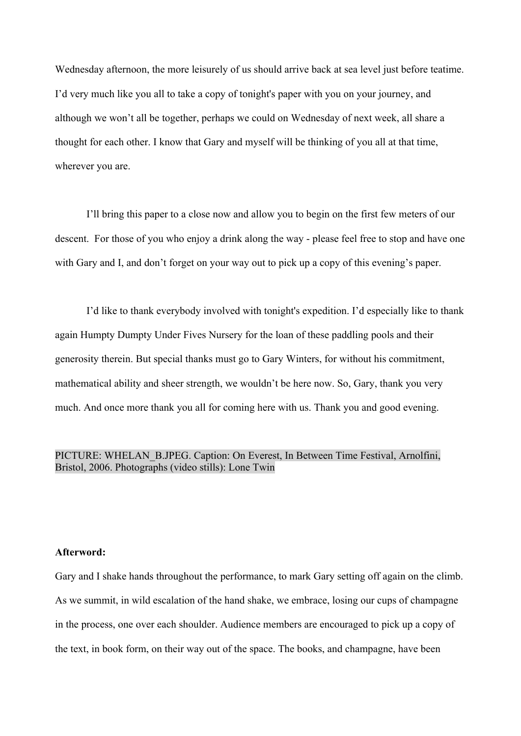Wednesday afternoon, the more leisurely of us should arrive back at sea level just before teatime. I'd very much like you all to take a copy of tonight's paper with you on your journey, and although we won't all be together, perhaps we could on Wednesday of next week, all share a thought for each other. I know that Gary and myself will be thinking of you all at that time, wherever you are.

I'll bring this paper to a close now and allow you to begin on the first few meters of our descent. For those of you who enjoy a drink along the way - please feel free to stop and have one with Gary and I, and don't forget on your way out to pick up a copy of this evening's paper.

I'd like to thank everybody involved with tonight's expedition. I'd especially like to thank again Humpty Dumpty Under Fives Nursery for the loan of these paddling pools and their generosity therein. But special thanks must go to Gary Winters, for without his commitment, mathematical ability and sheer strength, we wouldn't be here now. So, Gary, thank you very much. And once more thank you all for coming here with us. Thank you and good evening.

# PICTURE: WHELAN\_B.JPEG. Caption: On Everest, In Between Time Festival, Arnolfini, Bristol, 2006. Photographs (video stills): Lone Twin

#### **Afterword:**

Gary and I shake hands throughout the performance, to mark Gary setting off again on the climb. As we summit, in wild escalation of the hand shake, we embrace, losing our cups of champagne in the process, one over each shoulder. Audience members are encouraged to pick up a copy of the text, in book form, on their way out of the space. The books, and champagne, have been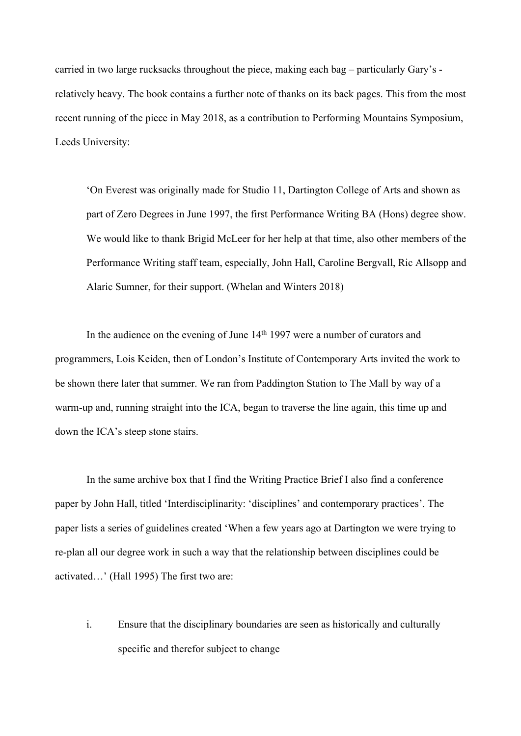carried in two large rucksacks throughout the piece, making each bag – particularly Gary's relatively heavy. The book contains a further note of thanks on its back pages. This from the most recent running of the piece in May 2018, as a contribution to Performing Mountains Symposium, Leeds University:

'On Everest was originally made for Studio 11, Dartington College of Arts and shown as part of Zero Degrees in June 1997, the first Performance Writing BA (Hons) degree show. We would like to thank Brigid McLeer for her help at that time, also other members of the Performance Writing staff team, especially, John Hall, Caroline Bergvall, Ric Allsopp and Alaric Sumner, for their support. (Whelan and Winters 2018)

In the audience on the evening of June  $14<sup>th</sup> 1997$  were a number of curators and programmers, Lois Keiden, then of London's Institute of Contemporary Arts invited the work to be shown there later that summer. We ran from Paddington Station to The Mall by way of a warm-up and, running straight into the ICA, began to traverse the line again, this time up and down the ICA's steep stone stairs.

In the same archive box that I find the Writing Practice Brief I also find a conference paper by John Hall, titled 'Interdisciplinarity: 'disciplines' and contemporary practices'. The paper lists a series of guidelines created 'When a few years ago at Dartington we were trying to re-plan all our degree work in such a way that the relationship between disciplines could be activated…' (Hall 1995) The first two are:

i. Ensure that the disciplinary boundaries are seen as historically and culturally specific and therefor subject to change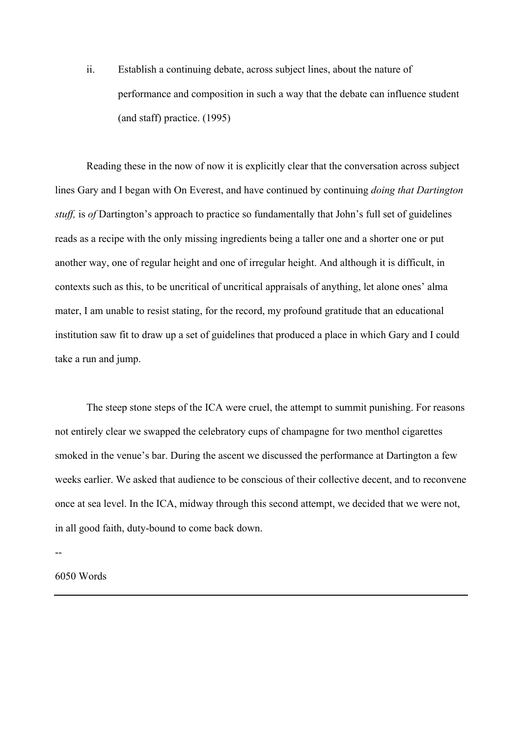ii. Establish a continuing debate, across subject lines, about the nature of performance and composition in such a way that the debate can influence student (and staff) practice. (1995)

Reading these in the now of now it is explicitly clear that the conversation across subject lines Gary and I began with On Everest, and have continued by continuing *doing that Dartington stuff,* is *of* Dartington's approach to practice so fundamentally that John's full set of guidelines reads as a recipe with the only missing ingredients being a taller one and a shorter one or put another way, one of regular height and one of irregular height. And although it is difficult, in contexts such as this, to be uncritical of uncritical appraisals of anything, let alone ones' alma mater, I am unable to resist stating, for the record, my profound gratitude that an educational institution saw fit to draw up a set of guidelines that produced a place in which Gary and I could take a run and jump.

The steep stone steps of the ICA were cruel, the attempt to summit punishing. For reasons not entirely clear we swapped the celebratory cups of champagne for two menthol cigarettes smoked in the venue's bar. During the ascent we discussed the performance at Dartington a few weeks earlier. We asked that audience to be conscious of their collective decent, and to reconvene once at sea level. In the ICA, midway through this second attempt, we decided that we were not, in all good faith, duty-bound to come back down.

--

6050 Words